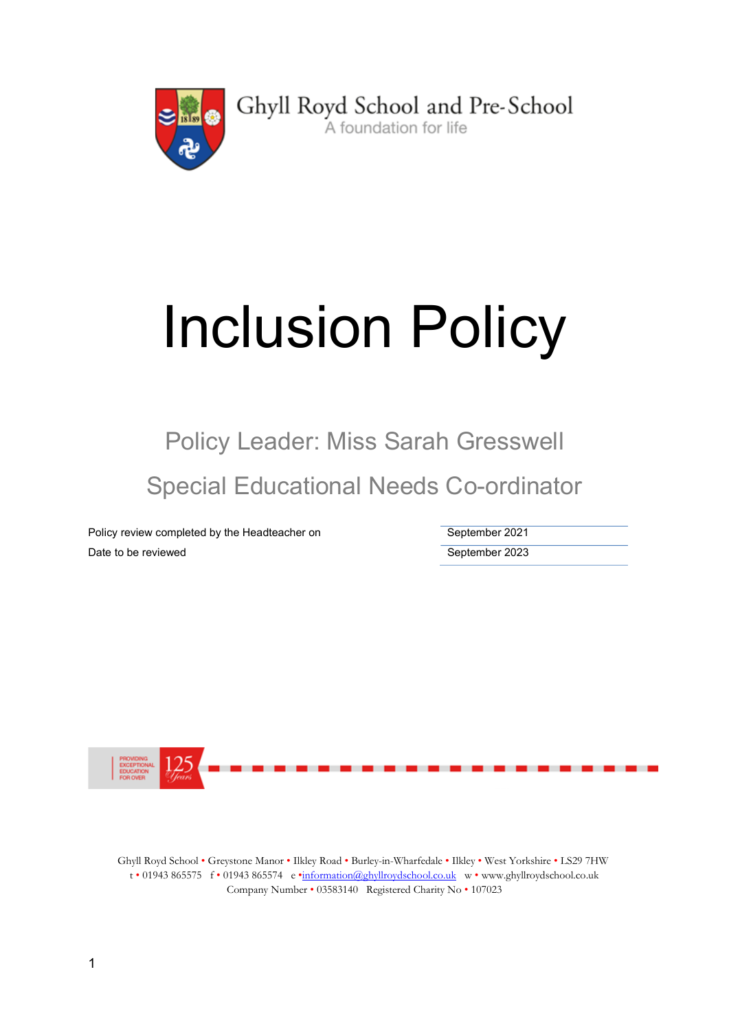

Ghyll Royd School and Pre-School A foundation for life

# Inclusion Policy

Policy Leader: Miss Sarah Gresswell Special Educational Needs Co-ordinator

Policy review completed by the Headteacher on September 2021 Date to be reviewed **September 2023** 



Ghyll Royd School • Greystone Manor • Ilkley Road • Burley-in-Wharfedale • Ilkley • West Yorkshire • LS29 7HW t • 01943 865575 f • 01943 865574 e •information@ghyllroydschool.co.uk w • www.ghyllroydschool.co.uk Company Number • 03583140 Registered Charity No • 107023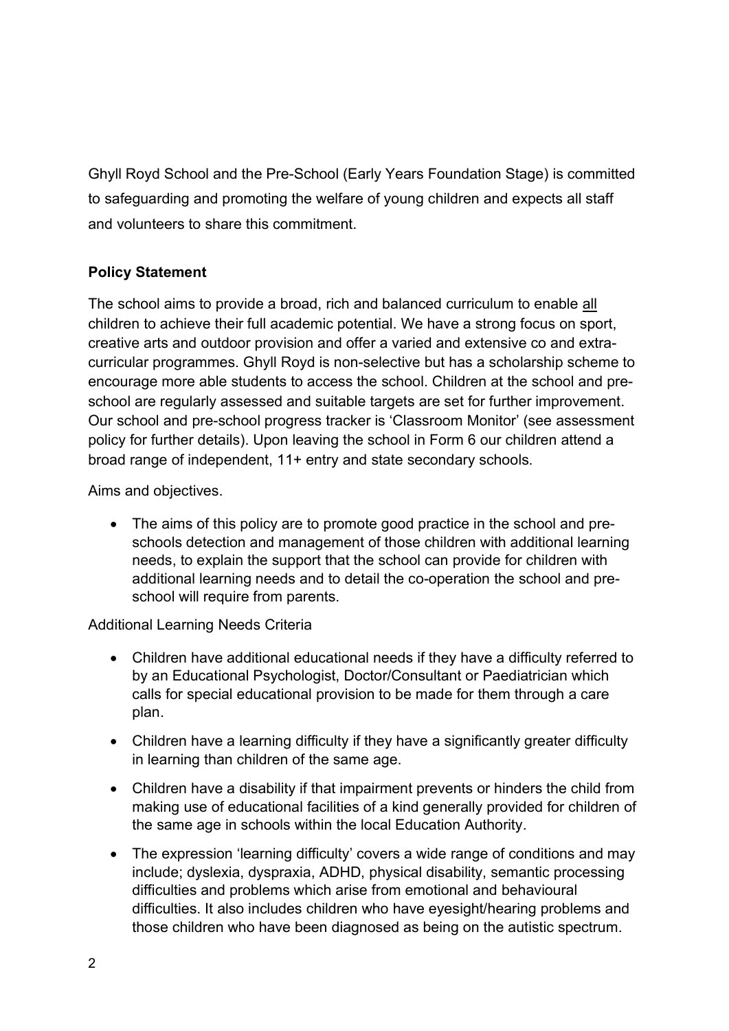Ghyll Royd School and the Pre-School (Early Years Foundation Stage) is committed to safeguarding and promoting the welfare of young children and expects all staff and volunteers to share this commitment.

## Policy Statement

The school aims to provide a broad, rich and balanced curriculum to enable all children to achieve their full academic potential. We have a strong focus on sport, creative arts and outdoor provision and offer a varied and extensive co and extracurricular programmes. Ghyll Royd is non-selective but has a scholarship scheme to encourage more able students to access the school. Children at the school and preschool are regularly assessed and suitable targets are set for further improvement. Our school and pre-school progress tracker is 'Classroom Monitor' (see assessment policy for further details). Upon leaving the school in Form 6 our children attend a broad range of independent, 11+ entry and state secondary schools.

Aims and objectives.

• The aims of this policy are to promote good practice in the school and preschools detection and management of those children with additional learning needs, to explain the support that the school can provide for children with additional learning needs and to detail the co-operation the school and preschool will require from parents.

Additional Learning Needs Criteria

- Children have additional educational needs if they have a difficulty referred to by an Educational Psychologist, Doctor/Consultant or Paediatrician which calls for special educational provision to be made for them through a care plan.
- Children have a learning difficulty if they have a significantly greater difficulty in learning than children of the same age.
- Children have a disability if that impairment prevents or hinders the child from making use of educational facilities of a kind generally provided for children of the same age in schools within the local Education Authority.
- The expression 'learning difficulty' covers a wide range of conditions and may include; dyslexia, dyspraxia, ADHD, physical disability, semantic processing difficulties and problems which arise from emotional and behavioural difficulties. It also includes children who have eyesight/hearing problems and those children who have been diagnosed as being on the autistic spectrum.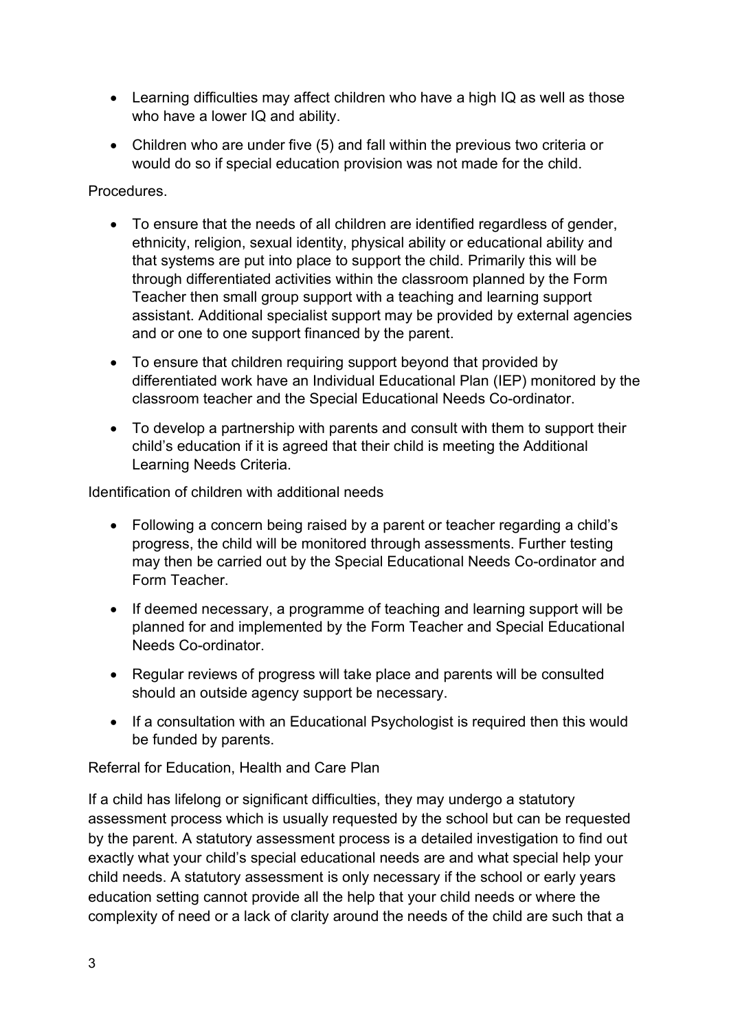- Learning difficulties may affect children who have a high IQ as well as those who have a lower IQ and ability.
- Children who are under five (5) and fall within the previous two criteria or would do so if special education provision was not made for the child.

### Procedures.

- To ensure that the needs of all children are identified regardless of gender, ethnicity, religion, sexual identity, physical ability or educational ability and that systems are put into place to support the child. Primarily this will be through differentiated activities within the classroom planned by the Form Teacher then small group support with a teaching and learning support assistant. Additional specialist support may be provided by external agencies and or one to one support financed by the parent.
- To ensure that children requiring support beyond that provided by differentiated work have an Individual Educational Plan (IEP) monitored by the classroom teacher and the Special Educational Needs Co-ordinator.
- To develop a partnership with parents and consult with them to support their child's education if it is agreed that their child is meeting the Additional Learning Needs Criteria.

Identification of children with additional needs

- Following a concern being raised by a parent or teacher regarding a child's progress, the child will be monitored through assessments. Further testing may then be carried out by the Special Educational Needs Co-ordinator and Form Teacher.
- If deemed necessary, a programme of teaching and learning support will be planned for and implemented by the Form Teacher and Special Educational Needs Co-ordinator.
- Regular reviews of progress will take place and parents will be consulted should an outside agency support be necessary.
- If a consultation with an Educational Psychologist is required then this would be funded by parents.

Referral for Education, Health and Care Plan

If a child has lifelong or significant difficulties, they may undergo a statutory assessment process which is usually requested by the school but can be requested by the parent. A statutory assessment process is a detailed investigation to find out exactly what your child's special educational needs are and what special help your child needs. A statutory assessment is only necessary if the school or early years education setting cannot provide all the help that your child needs or where the complexity of need or a lack of clarity around the needs of the child are such that a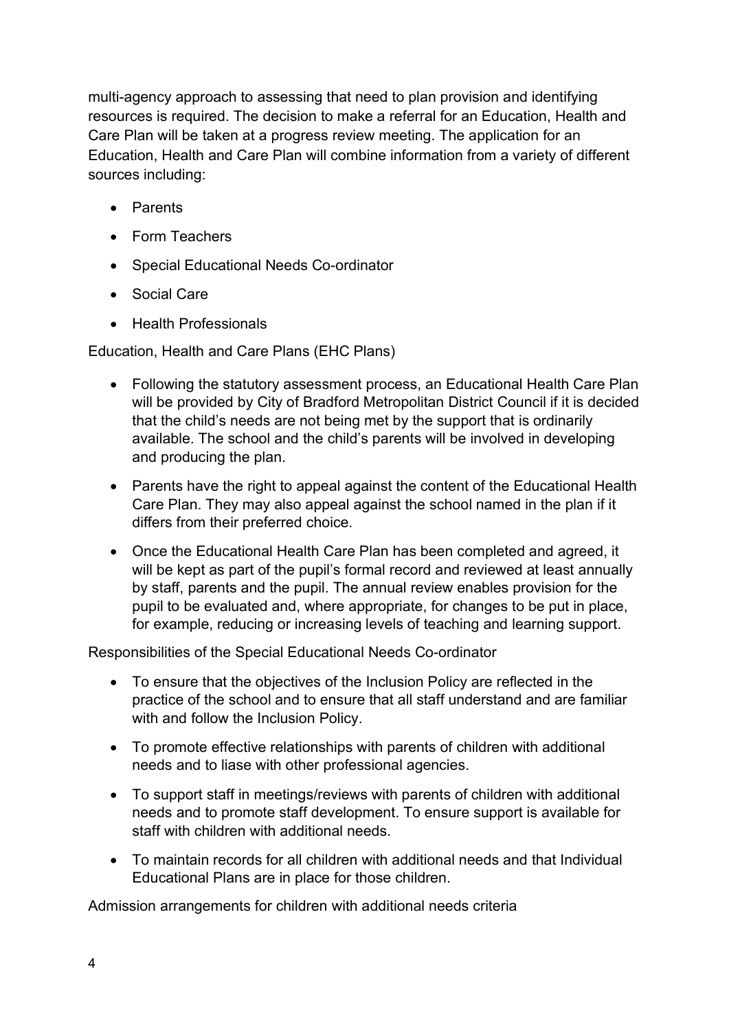multi-agency approach to assessing that need to plan provision and identifying resources is required. The decision to make a referral for an Education, Health and Care Plan will be taken at a progress review meeting. The application for an Education, Health and Care Plan will combine information from a variety of different sources including:

- Parents
- Form Teachers
- Special Educational Needs Co-ordinator
- Social Care
- Health Professionals

Education, Health and Care Plans (EHC Plans)

- Following the statutory assessment process, an Educational Health Care Plan will be provided by City of Bradford Metropolitan District Council if it is decided that the child's needs are not being met by the support that is ordinarily available. The school and the child's parents will be involved in developing and producing the plan.
- Parents have the right to appeal against the content of the Educational Health Care Plan. They may also appeal against the school named in the plan if it differs from their preferred choice.
- Once the Educational Health Care Plan has been completed and agreed, it will be kept as part of the pupil's formal record and reviewed at least annually by staff, parents and the pupil. The annual review enables provision for the pupil to be evaluated and, where appropriate, for changes to be put in place, for example, reducing or increasing levels of teaching and learning support.

Responsibilities of the Special Educational Needs Co-ordinator

- To ensure that the objectives of the Inclusion Policy are reflected in the practice of the school and to ensure that all staff understand and are familiar with and follow the Inclusion Policy.
- To promote effective relationships with parents of children with additional needs and to liase with other professional agencies.
- To support staff in meetings/reviews with parents of children with additional needs and to promote staff development. To ensure support is available for staff with children with additional needs.
- To maintain records for all children with additional needs and that Individual Educational Plans are in place for those children.

Admission arrangements for children with additional needs criteria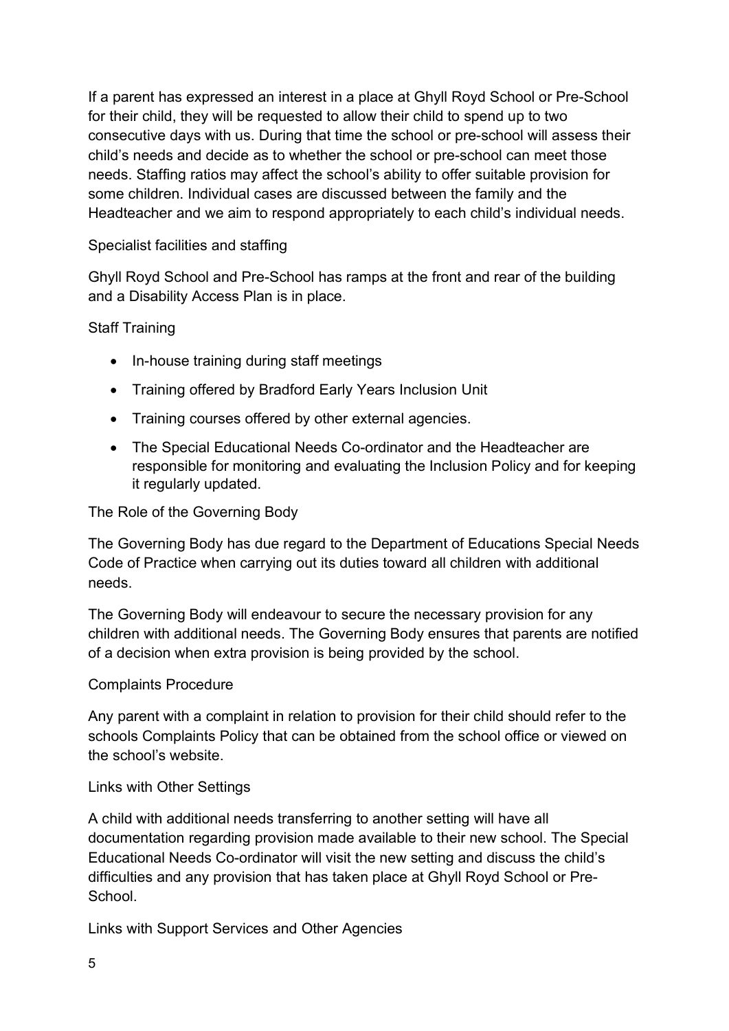If a parent has expressed an interest in a place at Ghyll Royd School or Pre-School for their child, they will be requested to allow their child to spend up to two consecutive days with us. During that time the school or pre-school will assess their child's needs and decide as to whether the school or pre-school can meet those needs. Staffing ratios may affect the school's ability to offer suitable provision for some children. Individual cases are discussed between the family and the Headteacher and we aim to respond appropriately to each child's individual needs.

## Specialist facilities and staffing

Ghyll Royd School and Pre-School has ramps at the front and rear of the building and a Disability Access Plan is in place.

#### Staff Training

- In-house training during staff meetings
- Training offered by Bradford Early Years Inclusion Unit
- Training courses offered by other external agencies.
- The Special Educational Needs Co-ordinator and the Headteacher are responsible for monitoring and evaluating the Inclusion Policy and for keeping it regularly updated.

The Role of the Governing Body

The Governing Body has due regard to the Department of Educations Special Needs Code of Practice when carrying out its duties toward all children with additional needs.

The Governing Body will endeavour to secure the necessary provision for any children with additional needs. The Governing Body ensures that parents are notified of a decision when extra provision is being provided by the school.

#### Complaints Procedure

Any parent with a complaint in relation to provision for their child should refer to the schools Complaints Policy that can be obtained from the school office or viewed on the school's website.

## Links with Other Settings

A child with additional needs transferring to another setting will have all documentation regarding provision made available to their new school. The Special Educational Needs Co-ordinator will visit the new setting and discuss the child's difficulties and any provision that has taken place at Ghyll Royd School or Pre-**School** 

Links with Support Services and Other Agencies